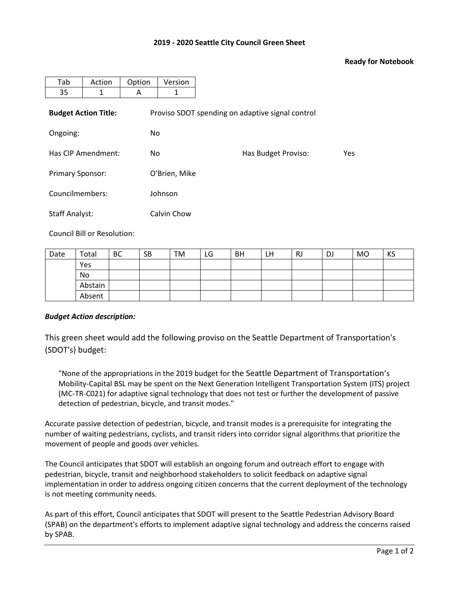## **2019 - 2020 Seattle City Council Green Sheet**

## **Ready for Notebook**

| Tab                         | Action | Option | Version                                          |                     |            |  |  |  |
|-----------------------------|--------|--------|--------------------------------------------------|---------------------|------------|--|--|--|
| 35                          | 1      | A      | 1                                                |                     |            |  |  |  |
| <b>Budget Action Title:</b> |        |        | Proviso SDOT spending on adaptive signal control |                     |            |  |  |  |
| Ongoing:                    |        | No.    |                                                  |                     |            |  |  |  |
| Has CIP Amendment:          |        | No.    |                                                  | Has Budget Proviso: | <b>Yes</b> |  |  |  |
| <b>Primary Sponsor:</b>     |        |        | O'Brien, Mike                                    |                     |            |  |  |  |
| Councilmembers:             |        |        | Johnson                                          |                     |            |  |  |  |
| <b>Staff Analyst:</b>       |        |        | Calvin Chow                                      |                     |            |  |  |  |

Council Bill or Resolution:

| Date | Total   | <b>BC</b> | <b>SB</b> | ΤM | LG | <b>BH</b> | LН | RJ | DJ | MO | KS |
|------|---------|-----------|-----------|----|----|-----------|----|----|----|----|----|
|      | Yes     |           |           |    |    |           |    |    |    |    |    |
|      | No      |           |           |    |    |           |    |    |    |    |    |
|      | Abstain |           |           |    |    |           |    |    |    |    |    |
|      | Absent  |           |           |    |    |           |    |    |    |    |    |

## *Budget Action description:*

This green sheet would add the following proviso on the Seattle Department of Transportation's (SDOT's) budget:

"None of the appropriations in the 2019 budget for the Seattle Department of Transportation's Mobility-Capital BSL may be spent on the Next Generation Intelligent Transportation System (ITS) project (MC-TR-C021) for adaptive signal technology that does not test or further the development of passive detection of pedestrian, bicycle, and transit modes."

Accurate passive detection of pedestrian, bicycle, and transit modes is a prerequisite for integrating the number of waiting pedestrians, cyclists, and transit riders into corridor signal algorithms that prioritize the movement of people and goods over vehicles.

The Council anticipates that SDOT will establish an ongoing forum and outreach effort to engage with pedestrian, bicycle, transit and neighborhood stakeholders to solicit feedback on adaptive signal implementation in order to address ongoing citizen concerns that the current deployment of the technology is not meeting community needs.

As part of this effort, Council anticipates that SDOT will present to the Seattle Pedestrian Advisory Board (SPAB) on the department's efforts to implement adaptive signal technology and address the concerns raised by SPAB.